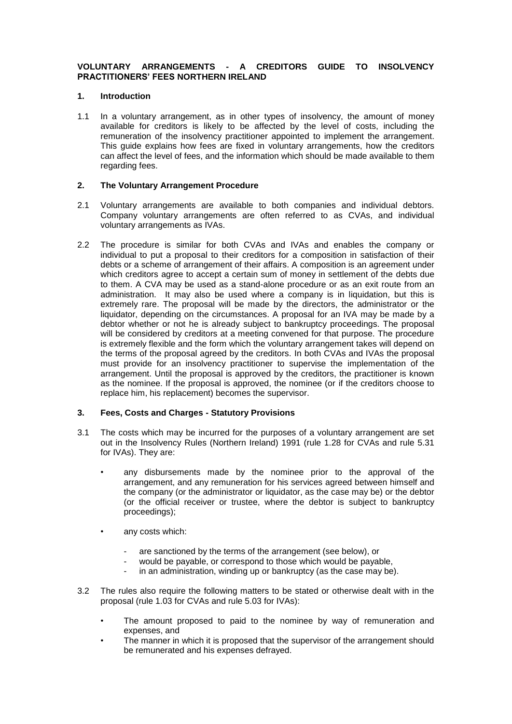# **VOLUNTARY ARRANGEMENTS - A CREDITORS GUIDE TO INSOLVENCY PRACTITIONERS' FEES NORTHERN IRELAND**

#### **1. Introduction**

1.1 In a voluntary arrangement, as in other types of insolvency, the amount of money available for creditors is likely to be affected by the level of costs, including the remuneration of the insolvency practitioner appointed to implement the arrangement. This guide explains how fees are fixed in voluntary arrangements, how the creditors can affect the level of fees, and the information which should be made available to them regarding fees.

### **2. The Voluntary Arrangement Procedure**

- 2.1 Voluntary arrangements are available to both companies and individual debtors. Company voluntary arrangements are often referred to as CVAs, and individual voluntary arrangements as IVAs.
- 2.2 The procedure is similar for both CVAs and IVAs and enables the company or individual to put a proposal to their creditors for a composition in satisfaction of their debts or a scheme of arrangement of their affairs. A composition is an agreement under which creditors agree to accept a certain sum of money in settlement of the debts due to them. A CVA may be used as a stand-alone procedure or as an exit route from an administration. It may also be used where a company is in liquidation, but this is extremely rare. The proposal will be made by the directors, the administrator or the liquidator, depending on the circumstances. A proposal for an IVA may be made by a debtor whether or not he is already subject to bankruptcy proceedings. The proposal will be considered by creditors at a meeting convened for that purpose. The procedure is extremely flexible and the form which the voluntary arrangement takes will depend on the terms of the proposal agreed by the creditors. In both CVAs and IVAs the proposal must provide for an insolvency practitioner to supervise the implementation of the arrangement. Until the proposal is approved by the creditors, the practitioner is known as the nominee. If the proposal is approved, the nominee (or if the creditors choose to replace him, his replacement) becomes the supervisor.

# **3. Fees, Costs and Charges - Statutory Provisions**

- 3.1 The costs which may be incurred for the purposes of a voluntary arrangement are set out in the Insolvency Rules (Northern Ireland) 1991 (rule 1.28 for CVAs and rule 5.31 for IVAs). They are:
	- any disbursements made by the nominee prior to the approval of the arrangement, and any remuneration for his services agreed between himself and the company (or the administrator or liquidator, as the case may be) or the debtor (or the official receiver or trustee, where the debtor is subject to bankruptcy proceedings);
	- any costs which:
		- are sanctioned by the terms of the arrangement (see below), or
		- would be payable, or correspond to those which would be payable,
		- in an administration, winding up or bankruptcy (as the case may be).
- 3.2 The rules also require the following matters to be stated or otherwise dealt with in the proposal (rule 1.03 for CVAs and rule 5.03 for IVAs):
	- The amount proposed to paid to the nominee by way of remuneration and expenses, and
	- **The manner in which it is proposed that the supervisor of the arrangement should** be remunerated and his expenses defrayed.